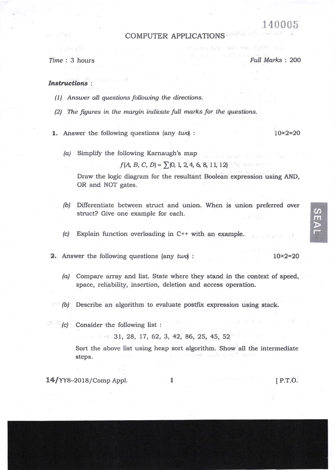## 140005

## COMPUTER APPLICATIONS

经经济 动物

 $\mathbb{Z}^{\mathbb{Z}^n\times\mathbb{Z}^n}$  .

Time : 3 hours Full Marks : 200

(8) 100 101 101 101

## Instructions :

- $(1)$  Answer all questions following the directions.
- (2) The figures in the margin indicate full marks for the questions.

1. Answer the following questions (any  $two$ ):  $10 \times 2 = 20$ 

(a) Simplify the following Karnaugh's map

 $f(A, B, C, D) = \sum (0, 1, 2, 4, 6, 8, 11, 12)$ 

Draw the logic diagram for the resultant Boolean expression using AND, OR and NOT gates.

- (b) Differentiate between struct and union. When is union preferred over struct? Give one example for each.
- (c) Explain function overloading in C++ with an example.
- 2. Answer the following questions (any  $twol$ :
	- /a/ Compare array and list. State where they stand in the context of speed, space, reliability, insertion, deletion and access operation.
	- (b) Describe an algorithm to evaluate postfix expression using stack.
	- (c) Consider the following list :

 $31, 28, 17, 62, 3, 42, 86, 25, 45, 52$ 

Sort the above list using heap sort algorithm. Show all the intermediate steps.

 $14/YY8-2018/Comp Appl.$  [P.T.O.

I

 $10\times2=20$ 

 $\mathcal{L}$ **RK**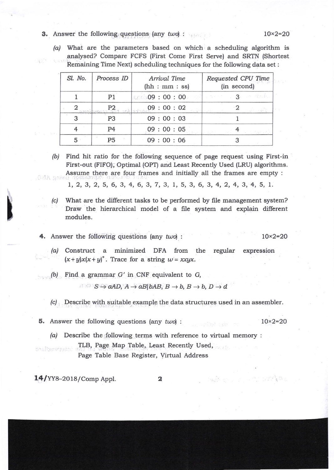- 3. Answer the following questions (any  $two$ ):  $10 \times 2 = 20$ 
	-
	- $(a)$  What are the parameters based on which a scheduling algorithm is analysed? Compare FCFS (First Come First Serve) and SRTN (Shortest Remaining Time Next) scheduling techniques for the following data set :

| Sl. No. | Process ID     | Arrival Time<br>(hh: mm: ss) | Requested CPU Time<br>(in second)                                                                                                                                                                                                                                                                                                                                   |
|---------|----------------|------------------------------|---------------------------------------------------------------------------------------------------------------------------------------------------------------------------------------------------------------------------------------------------------------------------------------------------------------------------------------------------------------------|
|         | P1             | 0.09:00:00                   | <b>Companies</b><br><b>1. 12 的复数</b>                                                                                                                                                                                                                                                                                                                                |
|         |                | <u><b>P2</b></u> 09:00:02    | $\begin{picture}(20,20) \put(0,0){\vector(1,0){100}} \put(15,0){\vector(1,0){100}} \put(15,0){\vector(1,0){100}} \put(15,0){\vector(1,0){100}} \put(15,0){\vector(1,0){100}} \put(15,0){\vector(1,0){100}} \put(15,0){\vector(1,0){100}} \put(15,0){\vector(1,0){100}} \put(15,0){\vector(1,0){100}} \put(15,0){\vector(1,0){100}} \put(15,0){\vector(1,0){100}} \$ |
|         | P3             | 09:00:03                     |                                                                                                                                                                                                                                                                                                                                                                     |
|         | P <sub>4</sub> | 09:00:05                     | in Said and                                                                                                                                                                                                                                                                                                                                                         |
|         | <b>P5</b>      | 09:00:06                     |                                                                                                                                                                                                                                                                                                                                                                     |

(b) Find hit ratio for the following sequence of page request using First-in First-out (FIFO); Optimal (OPT) and Least Recently Used (LRU) algorithms. Assume there are four frames and initially all the frames are empty : 将A an

1,2,3,2,5,6,3,4, 6,3,7,3, 1, 5, 3, 6,3,4,2,4,3,4, 5, 7.

(c) What are the different tasks to be performed by file management system? Draw the hierarchical model of a file system and explain different modules.

4. Answer the following questions (any  $two$ ) :  $10 \times 2 = 20$ 

- /ai Construct a minimized DFA from the regular expression  $(x + y)x(x + y)^{*}$ . Trace for a string  $w = xxyx$ .
- $(b)$  Find a grammar  $G'$  in CNF equivalent to  $G$ ,

 $S \hookrightarrow aAD$ ,  $A \rightarrow aB|bAB$ ,  $B \rightarrow b$ ,  $B \rightarrow b$ ,  $D \rightarrow d$ 

(c) Describe with suitable example the data structures used in an assembler.

**5.** Answer the following questions (any  $two$ ) :  $10 \times 2 = 20$ 

(a) Describe the following terms with reference to virtual memory : TLB, Page Map Table, Least Recently Used, Page Table Base Register, Virtual Address

 $14$ /YY8-2018/Comp Appl.  $2$ 

l

Settle and